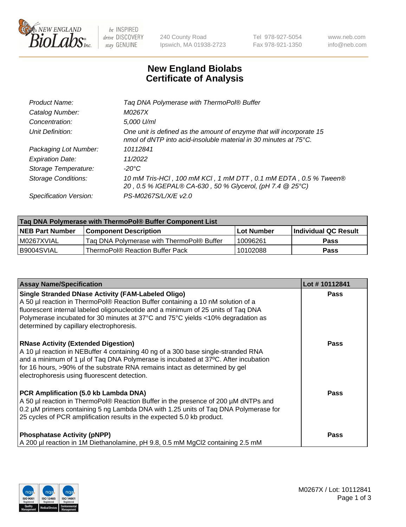

 $be$  INSPIRED drive DISCOVERY stay GENUINE

240 County Road Ipswich, MA 01938-2723 Tel 978-927-5054 Fax 978-921-1350 www.neb.com info@neb.com

## **New England Biolabs Certificate of Analysis**

| Tag DNA Polymerase with ThermoPol® Buffer                                                                                                |
|------------------------------------------------------------------------------------------------------------------------------------------|
| M0267X                                                                                                                                   |
| 5,000 U/ml                                                                                                                               |
| One unit is defined as the amount of enzyme that will incorporate 15<br>nmol of dNTP into acid-insoluble material in 30 minutes at 75°C. |
| 10112841                                                                                                                                 |
| 11/2022                                                                                                                                  |
| $-20^{\circ}$ C                                                                                                                          |
| 10 mM Tris-HCl, 100 mM KCl, 1 mM DTT, 0.1 mM EDTA, 0.5 % Tween®<br>20, 0.5 % IGEPAL® CA-630, 50 % Glycerol, (pH 7.4 @ 25°C)              |
| PS-M0267S/L/X/E v2.0                                                                                                                     |
|                                                                                                                                          |

| Tag DNA Polymerase with ThermoPol® Buffer Component List |                                           |                   |                        |  |  |
|----------------------------------------------------------|-------------------------------------------|-------------------|------------------------|--|--|
| <b>INEB Part Number</b>                                  | <b>Component Description</b>              | <b>Lot Number</b> | l Individual QC Result |  |  |
| IM0267XVIAL                                              | Tag DNA Polymerase with ThermoPol® Buffer | 10096261          | Pass                   |  |  |
| B9004SVIAL                                               | ThermoPol® Reaction Buffer Pack           | 10102088          | Pass                   |  |  |

| <b>Assay Name/Specification</b>                                                                                                                                                                                                                                                                                                                                  | Lot #10112841 |
|------------------------------------------------------------------------------------------------------------------------------------------------------------------------------------------------------------------------------------------------------------------------------------------------------------------------------------------------------------------|---------------|
| <b>Single Stranded DNase Activity (FAM-Labeled Oligo)</b><br>A 50 µl reaction in ThermoPol® Reaction Buffer containing a 10 nM solution of a<br>fluorescent internal labeled oligonucleotide and a minimum of 25 units of Taq DNA<br>Polymerase incubated for 30 minutes at 37°C and 75°C yields <10% degradation as<br>determined by capillary electrophoresis. | <b>Pass</b>   |
| <b>RNase Activity (Extended Digestion)</b><br>A 10 µl reaction in NEBuffer 4 containing 40 ng of a 300 base single-stranded RNA<br>and a minimum of 1 µl of Taq DNA Polymerase is incubated at 37°C. After incubation<br>for 16 hours, >90% of the substrate RNA remains intact as determined by gel<br>electrophoresis using fluorescent detection.             | <b>Pass</b>   |
| PCR Amplification (5.0 kb Lambda DNA)<br>A 50 µl reaction in ThermoPol® Reaction Buffer in the presence of 200 µM dNTPs and<br>0.2 µM primers containing 5 ng Lambda DNA with 1.25 units of Taq DNA Polymerase for<br>25 cycles of PCR amplification results in the expected 5.0 kb product.                                                                     | Pass          |
| <b>Phosphatase Activity (pNPP)</b><br>A 200 µl reaction in 1M Diethanolamine, pH 9.8, 0.5 mM MgCl2 containing 2.5 mM                                                                                                                                                                                                                                             | Pass          |

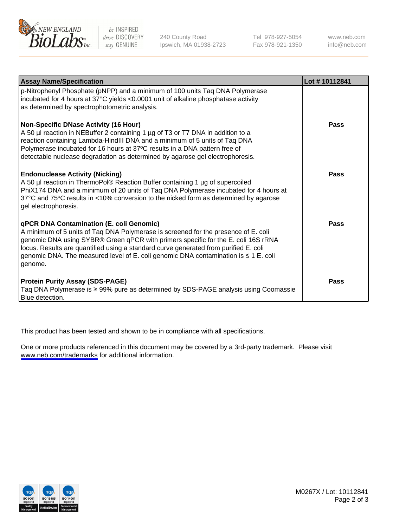

be INSPIRED drive DISCOVERY stay GENUINE

240 County Road Ipswich, MA 01938-2723 Tel 978-927-5054 Fax 978-921-1350

www.neb.com info@neb.com

| <b>Assay Name/Specification</b>                                                                                                                                                                                                                                                                                                                                                                               | Lot #10112841 |
|---------------------------------------------------------------------------------------------------------------------------------------------------------------------------------------------------------------------------------------------------------------------------------------------------------------------------------------------------------------------------------------------------------------|---------------|
| p-Nitrophenyl Phosphate (pNPP) and a minimum of 100 units Taq DNA Polymerase<br>incubated for 4 hours at 37°C yields <0.0001 unit of alkaline phosphatase activity<br>as determined by spectrophotometric analysis.                                                                                                                                                                                           |               |
| <b>Non-Specific DNase Activity (16 Hour)</b><br>A 50 µl reaction in NEBuffer 2 containing 1 µg of T3 or T7 DNA in addition to a<br>reaction containing Lambda-HindIII DNA and a minimum of 5 units of Taq DNA<br>Polymerase incubated for 16 hours at 37°C results in a DNA pattern free of<br>detectable nuclease degradation as determined by agarose gel electrophoresis.                                  | Pass          |
| <b>Endonuclease Activity (Nicking)</b><br>A 50 µl reaction in ThermoPol® Reaction Buffer containing 1 µg of supercoiled<br>PhiX174 DNA and a minimum of 20 units of Taq DNA Polymerase incubated for 4 hours at<br>37°C and 75°C results in <10% conversion to the nicked form as determined by agarose<br>gel electrophoresis.                                                                               | Pass          |
| qPCR DNA Contamination (E. coli Genomic)<br>A minimum of 5 units of Taq DNA Polymerase is screened for the presence of E. coli<br>genomic DNA using SYBR® Green qPCR with primers specific for the E. coli 16S rRNA<br>locus. Results are quantified using a standard curve generated from purified E. coli<br>genomic DNA. The measured level of E. coli genomic DNA contamination is ≤ 1 E. coli<br>genome. | Pass          |
| <b>Protein Purity Assay (SDS-PAGE)</b><br>Taq DNA Polymerase is ≥ 99% pure as determined by SDS-PAGE analysis using Coomassie<br>Blue detection.                                                                                                                                                                                                                                                              | Pass          |

This product has been tested and shown to be in compliance with all specifications.

One or more products referenced in this document may be covered by a 3rd-party trademark. Please visit <www.neb.com/trademarks>for additional information.